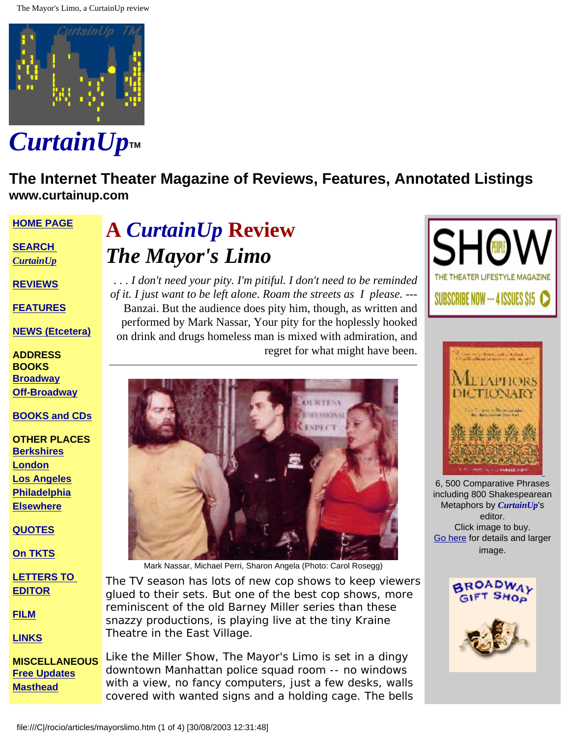

 $\boldsymbol{CurtainUp_{™}}$ 

**The Internet Theater Magazine of Reviews, Features, Annotated Listings www.curtainup.com**

## **[HOME PAGE](http://curtainup.com/index.html)**

**[SEARCH](http://curtainup.com/searchcu.html)**  *[CurtainUp](http://curtainup.com/searchcu.html)*

**[REVIEWS](http://curtainup.com/goingall.html)**

**[FEATURES](http://curtainup.com/mastftr.html)**

**[NEWS \(Etcetera\)](http://curtainup.com/etc.html)**

**ADDRESS BOOKS [Broadway](http://curtainup.com/add-bway.html) [Off-Broadway](http://curtainup.com/add-offb.html)**

**[BOOKS and CDs](http://curtainup.com/bookstor.html)**

**OTHER PLACES [Berkshires](http://curtainup.com/berkmain.html) [London](http://curtainup.com/londlink.html) [Los Angeles](http://curtainup.com/la-main.html) [Philadelphia](http://curtainup.com/philadelphia.html) [Elsewhere](http://curtainup.com/elsewhere.html)**

**[QUOTES](http://curtainup.com/timelyquotes.html)**

**[On TKTS](http://curtainup.com/tkts.html)**

**[LETTERS TO](http://curtainup.com/letters.html) [EDITOR](http://curtainup.com/letters.html)**

**[FILM](http://curtainup.com/movitalk.html)**

**[LINKS](http://curtainup.com/links.html)**

**MISCELLANEOUS [Free Updates](http://curtainup.com/email.html) [Masthead](http://curtainup.com/masthead.html)**

## **A** *CurtainUp* **Review** *The Mayor's Limo*

*. . . I don't need your pity. I'm pitiful. I don't need to be reminded of it. I just want to be left alone. Roam the streets as I please.* --- Banzai. But the audience does pity him, though, as written and performed by Mark Nassar, Your pity for the hoplessly hooked on drink and drugs homeless man is mixed with admiration, and regret for what might have been.



Mark Nassar, Michael Perri, Sharon Angela (Photo: Carol Rosegg)

The TV season has lots of new cop shows to keep viewers glued to their sets. But one of the best cop shows, more reminiscent of the old Barney Miller series than these snazzy productions, is playing live at the tiny Kraine Theatre in the East Village.

Like the Miller Show, *The Mayor's Limo* is set in a dingy downtown Manhattan police squad room -- no windows with a view, no fancy computers, just a few desks, walls covered with wanted signs and a holding cage. The bells





6, 500 Comparative Phrases including 800 Shakespearean Metaphors by *CurtainUp*'s editor. Click image to buy. [Go here](http://curtainup.com/elybio.html) for details and larger image.

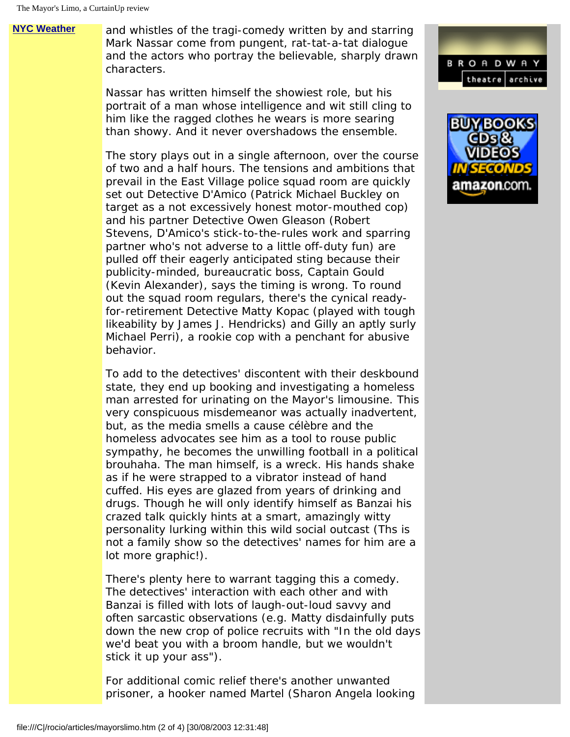**[NYC Weather](http://www.accuweather.com/weatherf/iwxpage_mainf_qx01?zipcode=11375&partner=accuweather)** and whistles of the tragi-comedy written by and starring Mark Nassar come from pungent, rat-tat-a-tat dialogue and the actors who portray the believable, sharply drawn characters.

> Nassar has written himself the showiest role, but his portrait of a man whose intelligence and wit still cling to him like the ragged clothes he wears is more searing than showy. And it never overshadows the ensemble.

The story plays out in a single afternoon, over the course of two and a half hours. The tensions and ambitions that prevail in the East Village police squad room are quickly set out Detective D'Amico (Patrick Michael Buckley on target as a not excessively honest motor-mouthed cop) and his partner Detective Owen Gleason (Robert Stevens, D'Amico's stick-to-the-rules work and sparring partner who's not adverse to a little off-duty fun) are pulled off their eagerly anticipated sting because their publicity-minded, bureaucratic boss, Captain Gould (Kevin Alexander), says the timing is wrong. To round out the squad room regulars, there's the cynical readyfor-retirement Detective Matty Kopac (played with tough likeability by James J. Hendricks) and Gilly an aptly surly Michael Perri), a rookie cop with a penchant for abusive behavior.

To add to the detectives' discontent with their deskbound state, they end up booking and investigating a homeless man arrested for urinating on the Mayor's limousine. This very conspicuous misdemeanor was actually inadvertent, but, as the media smells a *cause célèbre* and the homeless advocates see him as a tool to rouse public sympathy, he becomes the unwilling football in a political brouhaha. The man himself, is a wreck. His hands shake as if he were strapped to a vibrator instead of hand cuffed. His eyes are glazed from years of drinking and drugs. Though he will only identify himself as Banzai his crazed talk quickly hints at a smart, amazingly witty personality lurking within this wild social outcast (Ths is not a family show so the detectives' names for him are a lot more graphic!).

There's plenty here to warrant tagging this a comedy. The detectives' interaction with each other and with Banzai is filled with lots of laugh-out-loud savvy and often sarcastic observations (e.g. Matty disdainfully puts down the new crop of police recruits with "In the old days we'd beat you with a broom handle, but we wouldn't stick it up your ass").

For additional comic relief there's another unwanted prisoner, a hooker named Martel (Sharon Angela looking



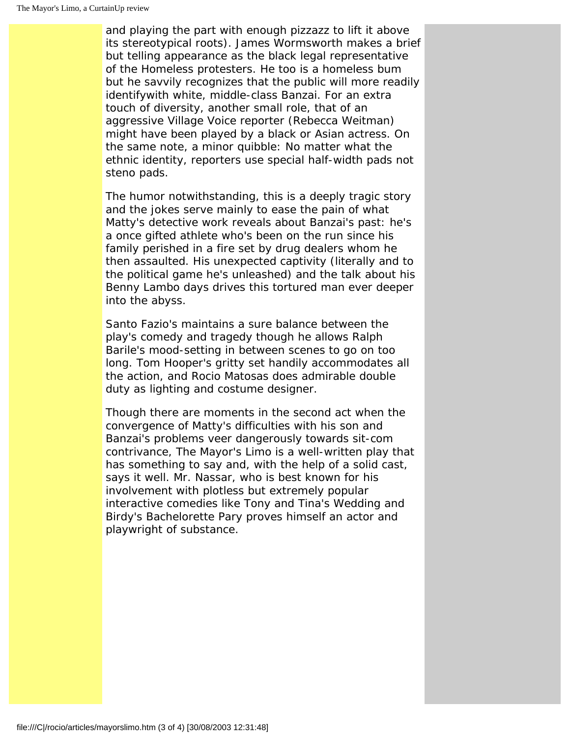and playing the part with enough pizzazz to lift it above its stereotypical roots). James Wormsworth makes a brief but telling appearance as the black legal representative of the Homeless protesters. He too is a homeless bum but he savvily recognizes that the public will more readily identifywith white, middle-class Banzai. For an extra touch of diversity, another small role, that of an aggressive *Village Voice* reporter (Rebecca Weitman) might have been played by a black or Asian actress. On the same note, a minor quibble: No matter what the ethnic identity, reporters use special half-width pads not steno pads.

The humor notwithstanding, this is a deeply tragic story and the jokes serve mainly to ease the pain of what Matty's detective work reveals about Banzai's past: he's a once gifted athlete who's been on the run since his family perished in a fire set by drug dealers whom he then assaulted. His unexpected captivity (literally and to the political game he's unleashed) and the talk about his Benny Lambo days drives this tortured man ever deeper into the abyss.

Santo Fazio's maintains a sure balance between the play's comedy and tragedy though he allows Ralph Barile's mood-setting in between scenes to go on too long. Tom Hooper's gritty set handily accommodates all the action, and Rocio Matosas does admirable double duty as lighting and costume designer.

Though there are moments in the second act when the convergence of Matty's difficulties with his son and Banzai's problems veer dangerously towards sit-com contrivance, *The Mayor's Limo* is a well-written play that has something to say and, with the help of a solid cast, says it well. Mr. Nassar, who is best known for his involvement with plotless but extremely popular interactive comedies like *Tony and Tina's Wedding* and *Birdy's Bachelorette Pary* proves himself an actor and playwright of substance.